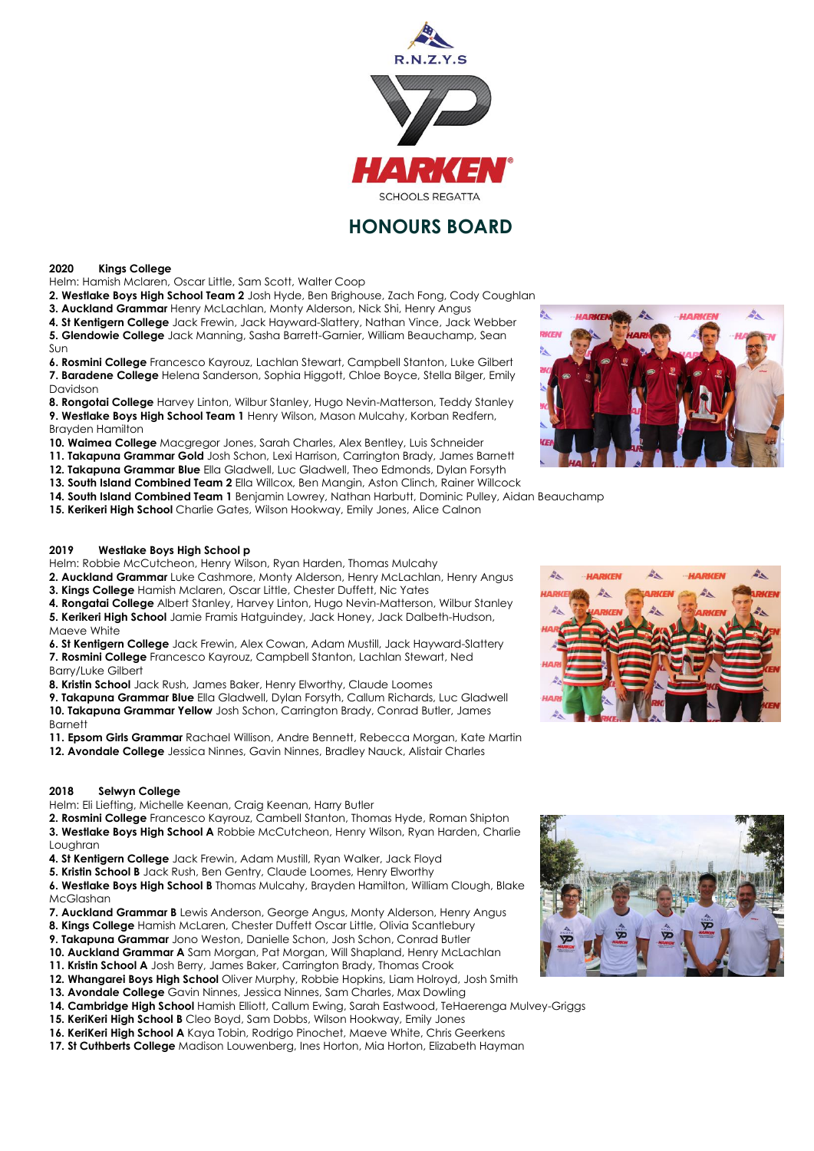

# **HONOURS BOARD**

### **2020 Kings College**

Helm: Hamish Mclaren, Oscar Little, Sam Scott, Walter Coop

**2. Westlake Boys High School Team 2** Josh Hyde, Ben Brighouse, Zach Fong, Cody Coughlan

**3. Auckland Grammar** Henry McLachlan, Monty Alderson, Nick Shi, Henry Angus

**4. St Kentigern College** Jack Frewin, Jack Hayward-Slattery, Nathan Vince, Jack Webber **5. Glendowie College** Jack Manning, Sasha Barrett-Garnier, William Beauchamp, Sean Sun

**6. Rosmini College** Francesco Kayrouz, Lachlan Stewart, Campbell Stanton, Luke Gilbert **7. Baradene College** Helena Sanderson, Sophia Higgott, Chloe Boyce, Stella Bilger, Emily Davidson

**8. Rongotai College** Harvey Linton, Wilbur Stanley, Hugo Nevin-Matterson, Teddy Stanley **9. Westlake Boys High School Team 1** Henry Wilson, Mason Mulcahy, Korban Redfern, Brayden Hamilton

**10. Waimea College** Macgregor Jones, Sarah Charles, Alex Bentley, Luis Schneider

**11. Takapuna Grammar Gold** Josh Schon, Lexi Harrison, Carrington Brady, James Barnett

**12. Takapuna Grammar Blue** Ella Gladwell, Luc Gladwell, Theo Edmonds, Dylan Forsyth

**13. South Island Combined Team 2** Ella Willcox, Ben Mangin, Aston Clinch, Rainer Willcock

**14. South Island Combined Team 1** Benjamin Lowrey, Nathan Harbutt, Dominic Pulley, Aidan Beauchamp

**15. Kerikeri High School** Charlie Gates, Wilson Hookway, Emily Jones, Alice Calnon

## **2019 Westlake Boys High School p**

Helm: Robbie McCutcheon, Henry Wilson, Ryan Harden, Thomas Mulcahy

**2. Auckland Grammar** Luke Cashmore, Monty Alderson, Henry McLachlan, Henry Angus **3. Kings College** Hamish Mclaren, Oscar Little, Chester Duffett, Nic Yates

**4. Rongatai College** Albert Stanley, Harvey Linton, Hugo Nevin-Matterson, Wilbur Stanley

**5. Kerikeri High School** Jamie Framis Hatguindey, Jack Honey, Jack Dalbeth-Hudson, Maeve White

**6. St Kentigern College** Jack Frewin, Alex Cowan, Adam Mustill, Jack Hayward-Slattery **7. Rosmini College** Francesco Kayrouz, Campbell Stanton, Lachlan Stewart, Ned Barry/Luke Gilbert

**8. Kristin School** Jack Rush, James Baker, Henry Elworthy, Claude Loomes

**9. Takapuna Grammar Blue** Ella Gladwell, Dylan Forsyth, Callum Richards, Luc Gladwell **10. Takapuna Grammar Yellow** Josh Schon, Carrington Brady, Conrad Butler, James Barnett

**11. Epsom Girls Grammar** Rachael Willison, Andre Bennett, Rebecca Morgan, Kate Martin

**12. Avondale College** Jessica Ninnes, Gavin Ninnes, Bradley Nauck, Alistair Charles

## **2018 Selwyn College**

Helm: Eli Liefting, Michelle Keenan, Craig Keenan, Harry Butler

**2. Rosmini College** Francesco Kayrouz, Cambell Stanton, Thomas Hyde, Roman Shipton **3. Westlake Boys High School A** Robbie McCutcheon, Henry Wilson, Ryan Harden, Charlie Loughran

- **4. St Kentigern College** Jack Frewin, Adam Mustill, Ryan Walker, Jack Floyd
- **5. Kristin School B** Jack Rush, Ben Gentry, Claude Loomes, Henry Elworthy

**6. Westlake Boys High School B** Thomas Mulcahy, Brayden Hamilton, William Clough, Blake McGlashan

**7. Auckland Grammar B** Lewis Anderson, George Angus, Monty Alderson, Henry Angus

- **8. Kings College** Hamish McLaren, Chester Duffett Oscar Little, Olivia Scantlebury
- **9. Takapuna Grammar** Jono Weston, Danielle Schon, Josh Schon, Conrad Butler
- **10. Auckland Grammar A** Sam Morgan, Pat Morgan, Will Shapland, Henry McLachlan

**11. Kristin School A** Josh Berry, James Baker, Carrington Brady, Thomas Crook

- **12. Whangarei Boys High School** Oliver Murphy, Robbie Hopkins, Liam Holroyd, Josh Smith
- **13. Avondale College** Gavin Ninnes, Jessica Ninnes, Sam Charles, Max Dowling
- **14. Cambridge High School** Hamish Elliott, Callum Ewing, Sarah Eastwood, TeHaerenga Mulvey-Griggs
- **15. KeriKeri High School B** Cleo Boyd, Sam Dobbs, Wilson Hookway, Emily Jones **16. KeriKeri High School A** Kaya Tobin, Rodrigo Pinochet, Maeve White, Chris Geerkens
- **17. St Cuthberts College** Madison Louwenberg, Ines Horton, Mia Horton, Elizabeth Hayman





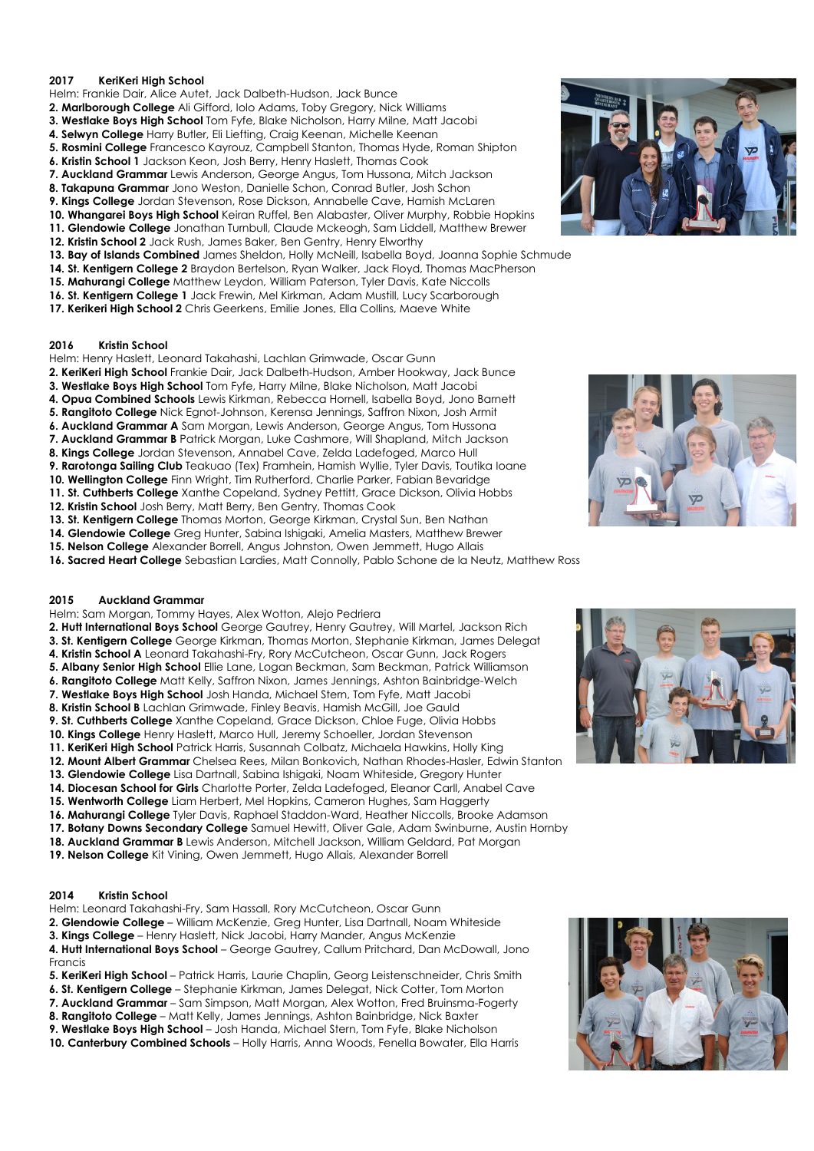## **2017 KeriKeri High School**

- Helm: Frankie Dair, Alice Autet, Jack Dalbeth-Hudson, Jack Bunce
- **2. Marlborough College** Ali Gifford, Iolo Adams, Toby Gregory, Nick Williams
- **3. Westlake Boys High School** Tom Fyfe, Blake Nicholson, Harry Milne, Matt Jacobi
- **4. Selwyn College** Harry Butler, Eli Liefting, Craig Keenan, Michelle Keenan
- **5. Rosmini College** Francesco Kayrouz, Campbell Stanton, Thomas Hyde, Roman Shipton
- **6. Kristin School 1** Jackson Keon, Josh Berry, Henry Haslett, Thomas Cook
- **7. Auckland Grammar** Lewis Anderson, George Angus, Tom Hussona, Mitch Jackson
- **8. Takapuna Grammar** Jono Weston, Danielle Schon, Conrad Butler, Josh Schon
- **9. Kings College** Jordan Stevenson, Rose Dickson, Annabelle Cave, Hamish McLaren
- **10. Whangarei Boys High School** Keiran Ruffel, Ben Alabaster, Oliver Murphy, Robbie Hopkins
- **11. Glendowie College** Jonathan Turnbull, Claude Mckeogh, Sam Liddell, Matthew Brewer
- **12. Kristin School 2** Jack Rush, James Baker, Ben Gentry, Henry Elworthy
- **13. Bay of Islands Combined** James Sheldon, Holly McNeill, Isabella Boyd, Joanna Sophie Schmude
- **14. St. Kentigern College 2** Braydon Bertelson, Ryan Walker, Jack Floyd, Thomas MacPherson
- **15. Mahurangi College** Matthew Leydon, William Paterson, Tyler Davis, Kate Niccolls
- **16. St. Kentigern College 1** Jack Frewin, Mel Kirkman, Adam Mustill, Lucy Scarborough **17. Kerikeri High School 2** Chris Geerkens, Emilie Jones, Ella Collins, Maeve White
- **2016 Kristin School**
- Helm: Henry Haslett, Leonard Takahashi, Lachlan Grimwade, Oscar Gunn
- **2. KeriKeri High School** Frankie Dair, Jack Dalbeth-Hudson, Amber Hookway, Jack Bunce
- **3. Westlake Boys High School** Tom Fyfe, Harry Milne, Blake Nicholson, Matt Jacobi
- **4. Opua Combined Schools** Lewis Kirkman, Rebecca Hornell, Isabella Boyd, Jono Barnett
- **5. Rangitoto College** Nick Egnot-Johnson, Kerensa Jennings, Saffron Nixon, Josh Armit
- **6. Auckland Grammar A** Sam Morgan, Lewis Anderson, George Angus, Tom Hussona
- **7. Auckland Grammar B** Patrick Morgan, Luke Cashmore, Will Shapland, Mitch Jackson
- **8. Kings College** Jordan Stevenson, Annabel Cave, Zelda Ladefoged, Marco Hull

**9. Rarotonga Sailing Club** Teakuao (Tex) Framhein, Hamish Wyllie, Tyler Davis, Toutika Ioane

- **10. Wellington College** Finn Wright, Tim Rutherford, Charlie Parker, Fabian Bevaridge
- **11. St. Cuthberts College** Xanthe Copeland, Sydney Pettitt, Grace Dickson, Olivia Hobbs **12. Kristin School** Josh Berry, Matt Berry, Ben Gentry, Thomas Cook
- 
- **13. St. Kentigern College** Thomas Morton, George Kirkman, Crystal Sun, Ben Nathan **14. Glendowie College** Greg Hunter, Sabina Ishigaki, Amelia Masters, Matthew Brewer
- **15. Nelson College** Alexander Borrell, Angus Johnston, Owen Jemmett, Hugo Allais
- 

**16. Sacred Heart College** Sebastian Lardies, Matt Connolly, Pablo Schone de la Neutz, Matthew Ross

#### **2015 Auckland Grammar**

- Helm: Sam Morgan, Tommy Hayes, Alex Wotton, Alejo Pedriera
- **2. Hutt International Boys School** George Gautrey, Henry Gautrey, Will Martel, Jackson Rich
- **3. St. Kentigern College** George Kirkman, Thomas Morton, Stephanie Kirkman, James Delegat
- **4. Kristin School A** Leonard Takahashi-Fry, Rory McCutcheon, Oscar Gunn, Jack Rogers
- **5. Albany Senior High School** Ellie Lane, Logan Beckman, Sam Beckman, Patrick Williamson
- **6. Rangitoto College** Matt Kelly, Saffron Nixon, James Jennings, Ashton Bainbridge-Welch
- 
- 
- **9. St. Cuthberts College** Xanthe Copeland, Grace Dickson, Chloe Fuge, Olivia Hobbs
- **10. Kings College** Henry Haslett, Marco Hull, Jeremy Schoeller, Jordan Stevenson
- **11. KeriKeri High School** Patrick Harris, Susannah Colbatz, Michaela Hawkins, Holly King
- **12. Mount Albert Grammar** Chelsea Rees, Milan Bonkovich, Nathan Rhodes-Hasler, Edwin Stanton
- **13. Glendowie College** Lisa Dartnall, Sabina Ishigaki, Noam Whiteside, Gregory Hunter
- **14. Diocesan School for Girls** Charlotte Porter, Zelda Ladefoged, Eleanor Carll, Anabel Cave
- **15. Wentworth College** Liam Herbert, Mel Hopkins, Cameron Hughes, Sam Haggerty
- **16. Mahurangi College** Tyler Davis, Raphael Staddon-Ward, Heather Niccolls, Brooke Adamson
- **17. Botany Downs Secondary College** Samuel Hewitt, Oliver Gale, Adam Swinburne, Austin Hornby
- **18. Auckland Grammar B** Lewis Anderson, Mitchell Jackson, William Geldard, Pat Morgan
- **19. Nelson College** Kit Vining, Owen Jemmett, Hugo Allais, Alexander Borrell

## **2014 Kristin School**

Helm: Leonard Takahashi-Fry, Sam Hassall, Rory McCutcheon, Oscar Gunn

- **2. Glendowie College** William McKenzie, Greg Hunter, Lisa Dartnall, Noam Whiteside
- **3. Kings College** Henry Haslett, Nick Jacobi, Harry Mander, Angus McKenzie

**4. Hutt International Boys School** – George Gautrey, Callum Pritchard, Dan McDowall, Jono Francis

- **5. KeriKeri High School**  Patrick Harris, Laurie Chaplin, Georg Leistenschneider, Chris Smith
- **6. St. Kentigern College** Stephanie Kirkman, James Delegat, Nick Cotter, Tom Morton
- **7. Auckland Grammar** Sam Simpson, Matt Morgan, Alex Wotton, Fred Bruinsma-Fogerty
- **8. Rangitoto College** Matt Kelly, James Jennings, Ashton Bainbridge, Nick Baxter

**9. Westlake Boys High School** – Josh Handa, Michael Stern, Tom Fyfe, Blake Nicholson

**10. Canterbury Combined Schools** – Holly Harris, Anna Woods, Fenella Bowater, Ella Harris









- 
- **7. Westlake Boys High School** Josh Handa, Michael Stern, Tom Fyfe, Matt Jacobi
- **8. Kristin School B** Lachlan Grimwade, Finley Beavis, Hamish McGill, Joe Gauld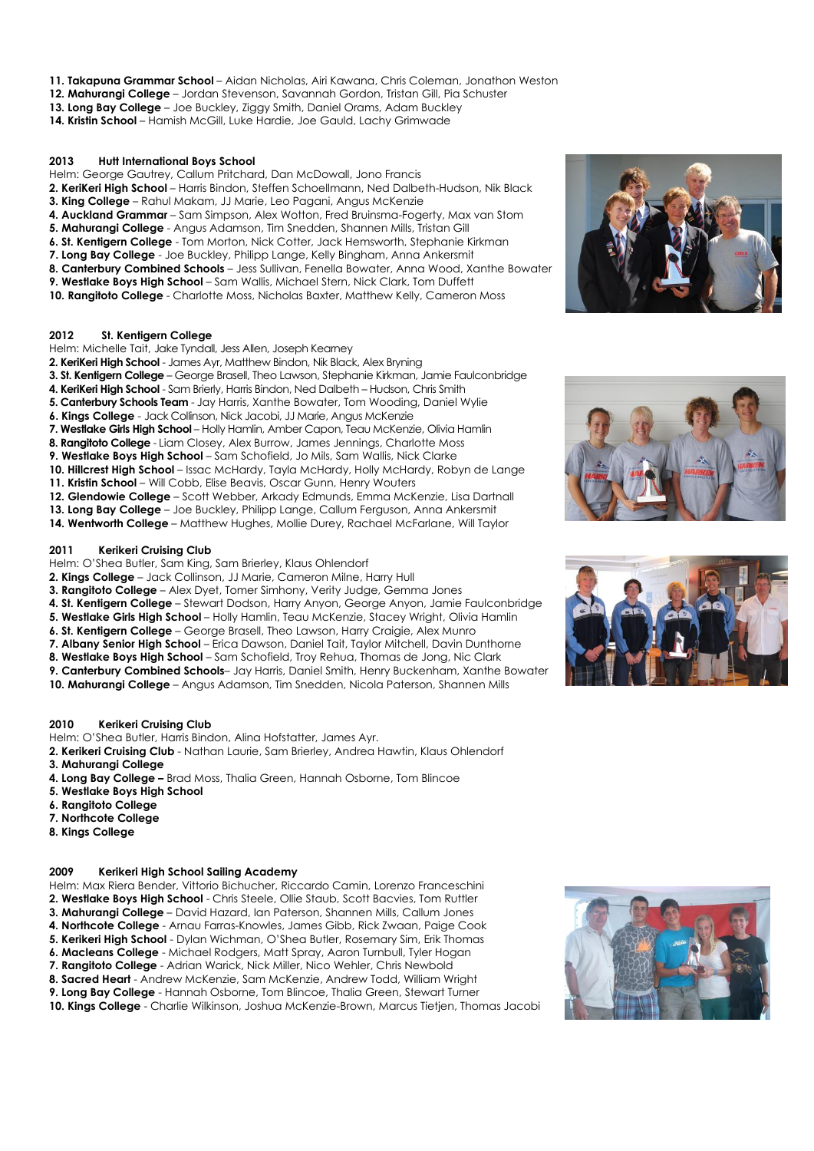- **11. Takapuna Grammar School** Aidan Nicholas, Airi Kawana, Chris Coleman, Jonathon Weston
- **12. Mahurangi College** Jordan Stevenson, Savannah Gordon, Tristan Gill, Pia Schuster
- **13. Long Bay College** Joe Buckley, Ziggy Smith, Daniel Orams, Adam Buckley
- **14. Kristin School** Hamish McGill, Luke Hardie, Joe Gauld, Lachy Grimwade

#### **2013 Hutt International Boys School**

Helm: George Gautrey, Callum Pritchard, Dan McDowall, Jono Francis

- **2. KeriKeri High School** Harris Bindon, Steffen Schoellmann, Ned Dalbeth-Hudson, Nik Black
- **3. King College** Rahul Makam, JJ Marie, Leo Pagani, Angus McKenzie
- **4. Auckland Grammar** Sam Simpson, Alex Wotton, Fred Bruinsma-Fogerty, Max van Stom
- **5. Mahurangi College** Angus Adamson, Tim Snedden, Shannen Mills, Tristan Gill
- **6. St. Kentigern College** Tom Morton, Nick Cotter, Jack Hemsworth, Stephanie Kirkman
- **7. Long Bay College** Joe Buckley, Philipp Lange, Kelly Bingham, Anna Ankersmit
- **8. Canterbury Combined Schools** Jess Sullivan, Fenella Bowater, Anna Wood, Xanthe Bowater
- **9. Westlake Boys High School** Sam Wallis, Michael Stern, Nick Clark, Tom Duffett
- **10. Rangitoto College**  Charlotte Moss, Nicholas Baxter, Matthew Kelly, Cameron Moss

#### **2012 St. Kentigern College**

- Helm: Michelle Tait, Jake Tyndall, Jess Allen, Joseph Kearney
- **2. KeriKeri High School** James Ayr, Matthew Bindon, Nik Black, Alex Bryning
- **3. St. Kentigern College** George Brasell, Theo Lawson, Stephanie Kirkman, Jamie Faulconbridge
- **4. KeriKeri High School** Sam Brierly, Harris Bindon, Ned Dalbeth Hudson, Chris Smith
- **5. Canterbury Schools Team** Jay Harris, Xanthe Bowater, Tom Wooding, Daniel Wylie
- **6. Kings College** Jack Collinson, Nick Jacobi, JJ Marie, Angus McKenzie
- **7. Westlake Girls High School**  Holly Hamlin, Amber Capon, Teau McKenzie, Olivia Hamlin
- **8. Rangitoto College** Liam Closey, Alex Burrow, James Jennings, Charlotte Moss
- **9. Westlake Boys High School** Sam Schofield, Jo Mils, Sam Wallis, Nick Clarke

**10. Hillcrest High School** – Issac McHardy, Tayla McHardy, Holly McHardy, Robyn de Lange

- **11. Kristin School** Will Cobb, Elise Beavis, Oscar Gunn, Henry Wouters
- **12. Glendowie College** Scott Webber, Arkady Edmunds, Emma McKenzie, Lisa Dartnall
- **13. Long Bay College** Joe Buckley, Philipp Lange, Callum Ferguson, Anna Ankersmit
- **14. Wentworth College** Matthew Hughes, Mollie Durey, Rachael McFarlane, Will Taylor

#### **2011 Kerikeri Cruising Club**

- Helm: O'Shea Butler, Sam King, Sam Brierley, Klaus Ohlendorf
- **2. Kings College** Jack Collinson, JJ Marie, Cameron Milne, Harry Hull
- **3. Rangitoto College** Alex Dyet, Tomer Simhony, Verity Judge, Gemma Jones
- **4. St. Kentigern College** Stewart Dodson, Harry Anyon, George Anyon, Jamie Faulconbridge
- **5. Westlake Girls High School** Holly Hamlin, Teau McKenzie, Stacey Wright, Olivia Hamlin
- **6. St. Kentigern College** George Brasell, Theo Lawson, Harry Craigie, Alex Munro
- **7. Albany Senior High School** Erica Dawson, Daniel Tait, Taylor Mitchell, Davin Dunthorne
- **8. Westlake Boys High School** Sam Schofield, Troy Rehua, Thomas de Jong, Nic Clark
- **9. Canterbury Combined Schools** Jay Harris, Daniel Smith, Henry Buckenham, Xanthe Bowater
- **10. Mahurangi College** Angus Adamson, Tim Snedden, Nicola Paterson, Shannen Mills

## **2010 Kerikeri Cruising Club**

Helm: O'Shea Butler, Harris Bindon, Alina Hofstatter, James Ayr.

**2. Kerikeri Cruising Club** - Nathan Laurie, Sam Brierley, Andrea Hawtin, Klaus Ohlendorf **3. Mahurangi College**

- **4. Long Bay College –** Brad Moss, Thalia Green, Hannah Osborne, Tom Blincoe
- **5. Westlake Boys High School**
- **6. Rangitoto College**
- **7. Northcote College**
- **8. Kings College**

## **2009 Kerikeri High School Sailing Academy**

Helm: Max Riera Bender, Vittorio Bichucher, Riccardo Camin, Lorenzo Franceschini **2. Westlake Boys High School** - Chris Steele, Ollie Staub, Scott Bacvies, Tom Ruttler

- **3. Mahurangi College** David Hazard, Ian Paterson, Shannen Mills, Callum Jones
- **4. Northcote College** Arnau Farras-Knowles, James Gibb, Rick Zwaan, Paige Cook
- **5. Kerikeri High School** Dylan Wichman, O'Shea Butler, Rosemary Sim, Erik Thomas
- **6. Macleans College** Michael Rodgers, Matt Spray, Aaron Turnbull, Tyler Hogan
- **7. Rangitoto College** Adrian Warick, Nick Miller, Nico Wehler, Chris Newbold
- **8. Sacred Heart** Andrew McKenzie, Sam McKenzie, Andrew Todd, William Wright
- **9. Long Bay College** Hannah Osborne, Tom Blincoe, Thalia Green, Stewart Turner

**10. Kings College** - Charlie Wilkinson, Joshua McKenzie-Brown, Marcus Tietjen, Thomas Jacobi